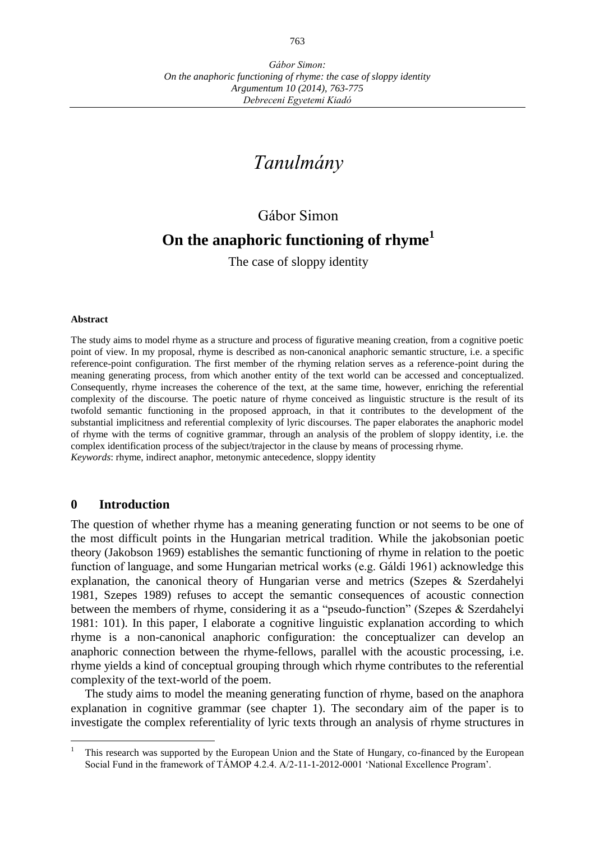# *Tanulmány*

## Gábor Simon

## **On the anaphoric functioning of rhyme<sup>1</sup>**

The case of sloppy identity

#### **Abstract**

The study aims to model rhyme as a structure and process of figurative meaning creation, from a cognitive poetic point of view. In my proposal, rhyme is described as non-canonical anaphoric semantic structure, i.e. a specific reference-point configuration. The first member of the rhyming relation serves as a reference-point during the meaning generating process, from which another entity of the text world can be accessed and conceptualized. Consequently, rhyme increases the coherence of the text, at the same time, however, enriching the referential complexity of the discourse. The poetic nature of rhyme conceived as linguistic structure is the result of its twofold semantic functioning in the proposed approach, in that it contributes to the development of the substantial implicitness and referential complexity of lyric discourses. The paper elaborates the anaphoric model of rhyme with the terms of cognitive grammar, through an analysis of the problem of sloppy identity, i.e. the complex identification process of the subject/trajector in the clause by means of processing rhyme. *Keywords*: rhyme, indirect anaphor, metonymic antecedence, sloppy identity

## **0 Introduction**

 $\overline{a}$ 

The question of whether rhyme has a meaning generating function or not seems to be one of the most difficult points in the Hungarian metrical tradition. While the jakobsonian poetic theory (Jakobson 1969) establishes the semantic functioning of rhyme in relation to the poetic function of language, and some Hungarian metrical works (e.g. Gáldi 1961) acknowledge this explanation, the canonical theory of Hungarian verse and metrics (Szepes & Szerdahelyi 1981, Szepes 1989) refuses to accept the semantic consequences of acoustic connection between the members of rhyme, considering it as a "pseudo-function" (Szepes & Szerdahelyi 1981: 101). In this paper, I elaborate a cognitive linguistic explanation according to which rhyme is a non-canonical anaphoric configuration: the conceptualizer can develop an anaphoric connection between the rhyme-fellows, parallel with the acoustic processing, i.e. rhyme yields a kind of conceptual grouping through which rhyme contributes to the referential complexity of the text-world of the poem.

The study aims to model the meaning generating function of rhyme, based on the anaphora explanation in cognitive grammar (see chapter 1). The secondary aim of the paper is to investigate the complex referentiality of lyric texts through an analysis of rhyme structures in

This research was supported by the European Union and the State of Hungary, co-financed by the European Social Fund in the framework of TÁMOP 4.2.4. A/2-11-1-2012-0001 'National Excellence Program'.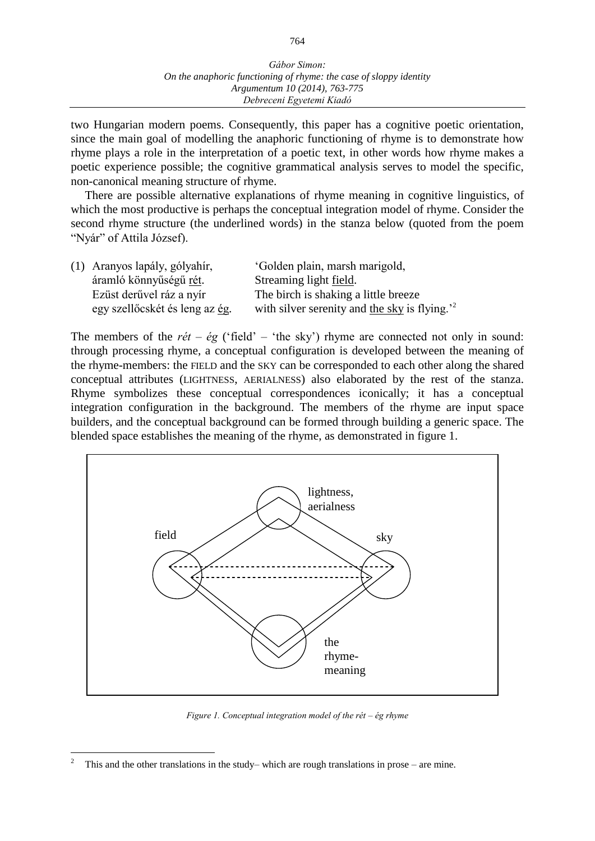two Hungarian modern poems. Consequently, this paper has a cognitive poetic orientation, since the main goal of modelling the anaphoric functioning of rhyme is to demonstrate how rhyme plays a role in the interpretation of a poetic text, in other words how rhyme makes a poetic experience possible; the cognitive grammatical analysis serves to model the specific, non-canonical meaning structure of rhyme.

There are possible alternative explanations of rhyme meaning in cognitive linguistics, of which the most productive is perhaps the conceptual integration model of rhyme. Consider the second rhyme structure (the underlined words) in the stanza below (quoted from the poem "Nyár" of Attila József).

| (1) Aranyos lapály, gólyahír,  | 'Golden plain, marsh marigold,                           |
|--------------------------------|----------------------------------------------------------|
| áramló könnyűségű <u>rét</u> . | Streaming light <u>field</u> .                           |
| Ezüst derűvel ráz a nyír       | The birch is shaking a little breeze                     |
| egy szellőcskét és leng az ég. | with silver serenity and the sky is flying. <sup>2</sup> |

The members of the  $r\acute{e}t - \acute{e}g$  ('field' – 'the sky') rhyme are connected not only in sound: through processing rhyme, a conceptual configuration is developed between the meaning of the rhyme-members: the FIELD and the SKY can be corresponded to each other along the shared conceptual attributes (LIGHTNESS, AERIALNESS) also elaborated by the rest of the stanza. Rhyme symbolizes these conceptual correspondences iconically; it has a conceptual integration configuration in the background. The members of the rhyme are input space builders, and the conceptual background can be formed through building a generic space. The blended space establishes the meaning of the rhyme, as demonstrated in figure 1.



*Figure 1. Conceptual integration model of the rét ‒ ég rhyme*

 $\overline{a}$ 

<sup>2</sup> This and the other translations in the study– which are rough translations in prose – are mine.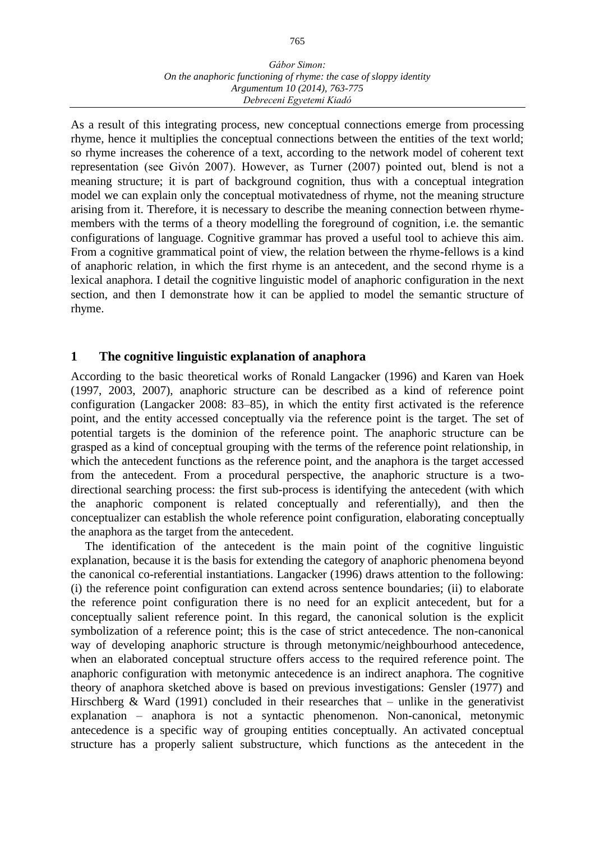#### *Gábor Simon: On the anaphoric functioning of rhyme: the case of sloppy identity Argumentum 10 (2014), 763-775 Debreceni Egyetemi Kiadó*

As a result of this integrating process, new conceptual connections emerge from processing rhyme, hence it multiplies the conceptual connections between the entities of the text world; so rhyme increases the coherence of a text, according to the network model of coherent text representation (see Givón 2007). However, as Turner (2007) pointed out, blend is not a meaning structure; it is part of background cognition, thus with a conceptual integration model we can explain only the conceptual motivatedness of rhyme, not the meaning structure arising from it. Therefore, it is necessary to describe the meaning connection between rhymemembers with the terms of a theory modelling the foreground of cognition, i.e. the semantic configurations of language. Cognitive grammar has proved a useful tool to achieve this aim. From a cognitive grammatical point of view, the relation between the rhyme-fellows is a kind of anaphoric relation, in which the first rhyme is an antecedent, and the second rhyme is a lexical anaphora. I detail the cognitive linguistic model of anaphoric configuration in the next section, and then I demonstrate how it can be applied to model the semantic structure of rhyme.

## **1 The cognitive linguistic explanation of anaphora**

According to the basic theoretical works of Ronald Langacker (1996) and Karen van Hoek (1997, 2003, 2007), anaphoric structure can be described as a kind of reference point configuration (Langacker 2008: 83–85), in which the entity first activated is the reference point, and the entity accessed conceptually via the reference point is the target. The set of potential targets is the dominion of the reference point. The anaphoric structure can be grasped as a kind of conceptual grouping with the terms of the reference point relationship, in which the antecedent functions as the reference point, and the anaphora is the target accessed from the antecedent. From a procedural perspective, the anaphoric structure is a twodirectional searching process: the first sub-process is identifying the antecedent (with which the anaphoric component is related conceptually and referentially), and then the conceptualizer can establish the whole reference point configuration, elaborating conceptually the anaphora as the target from the antecedent.

The identification of the antecedent is the main point of the cognitive linguistic explanation, because it is the basis for extending the category of anaphoric phenomena beyond the canonical co-referential instantiations. Langacker (1996) draws attention to the following: (i) the reference point configuration can extend across sentence boundaries; (ii) to elaborate the reference point configuration there is no need for an explicit antecedent, but for a conceptually salient reference point. In this regard, the canonical solution is the explicit symbolization of a reference point; this is the case of strict antecedence. The non-canonical way of developing anaphoric structure is through metonymic/neighbourhood antecedence, when an elaborated conceptual structure offers access to the required reference point. The anaphoric configuration with metonymic antecedence is an indirect anaphora. The cognitive theory of anaphora sketched above is based on previous investigations: Gensler (1977) and Hirschberg & Ward (1991) concluded in their researches that – unlike in the generativist  $explanation - anaphora$  is not a syntactic phenomenon. Non-canonical, metonymic antecedence is a specific way of grouping entities conceptually. An activated conceptual structure has a properly salient substructure, which functions as the antecedent in the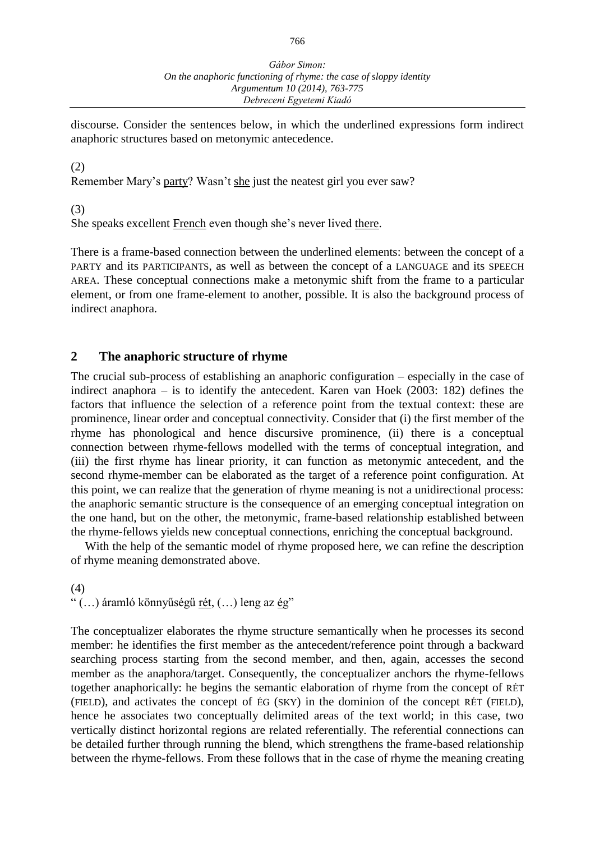discourse. Consider the sentences below, in which the underlined expressions form indirect anaphoric structures based on metonymic antecedence.

## (2)

Remember Mary's party? Wasn't she just the neatest girl you ever saw?

(3)

She speaks excellent French even though she's never lived there.

There is a frame-based connection between the underlined elements: between the concept of a PARTY and its PARTICIPANTS, as well as between the concept of a LANGUAGE and its SPEECH AREA. These conceptual connections make a metonymic shift from the frame to a particular element, or from one frame-element to another, possible. It is also the background process of indirect anaphora.

## **2 The anaphoric structure of rhyme**

The crucial sub-process of establishing an anaphoric configuration – especially in the case of indirect anaphora  $-$  is to identify the antecedent. Karen van Hoek (2003: 182) defines the factors that influence the selection of a reference point from the textual context: these are prominence, linear order and conceptual connectivity. Consider that (i) the first member of the rhyme has phonological and hence discursive prominence, (ii) there is a conceptual connection between rhyme-fellows modelled with the terms of conceptual integration, and (iii) the first rhyme has linear priority, it can function as metonymic antecedent, and the second rhyme-member can be elaborated as the target of a reference point configuration. At this point, we can realize that the generation of rhyme meaning is not a unidirectional process: the anaphoric semantic structure is the consequence of an emerging conceptual integration on the one hand, but on the other, the metonymic, frame-based relationship established between the rhyme-fellows yields new conceptual connections, enriching the conceptual background.

With the help of the semantic model of rhyme proposed here, we can refine the description of rhyme meaning demonstrated above.

(4)

" (…) áramló könnyűségű rét, (…) leng az ég"

The conceptualizer elaborates the rhyme structure semantically when he processes its second member: he identifies the first member as the antecedent/reference point through a backward searching process starting from the second member, and then, again, accesses the second member as the anaphora/target. Consequently, the conceptualizer anchors the rhyme-fellows together anaphorically: he begins the semantic elaboration of rhyme from the concept of RÉT (FIELD), and activates the concept of ÉG (SKY) in the dominion of the concept RÉT (FIELD), hence he associates two conceptually delimited areas of the text world; in this case, two vertically distinct horizontal regions are related referentially. The referential connections can be detailed further through running the blend, which strengthens the frame-based relationship between the rhyme-fellows. From these follows that in the case of rhyme the meaning creating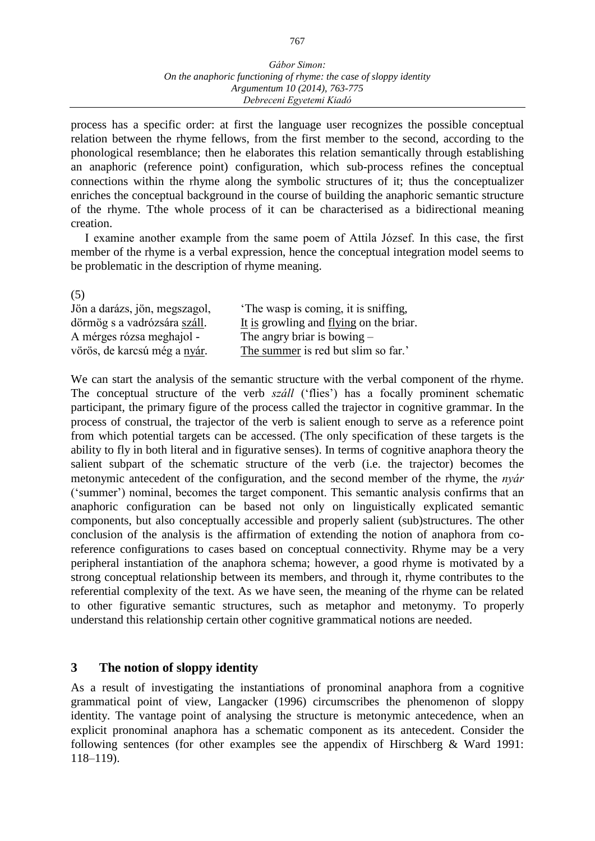#### *Gábor Simon: On the anaphoric functioning of rhyme: the case of sloppy identity Argumentum 10 (2014), 763-775 Debreceni Egyetemi Kiadó*

process has a specific order: at first the language user recognizes the possible conceptual relation between the rhyme fellows, from the first member to the second, according to the phonological resemblance; then he elaborates this relation semantically through establishing an anaphoric (reference point) configuration, which sub-process refines the conceptual connections within the rhyme along the symbolic structures of it; thus the conceptualizer enriches the conceptual background in the course of building the anaphoric semantic structure of the rhyme. Tthe whole process of it can be characterised as a bidirectional meaning creation.

I examine another example from the same poem of Attila József. In this case, the first member of the rhyme is a verbal expression, hence the conceptual integration model seems to be problematic in the description of rhyme meaning.

(5)

| Jön a darázs, jön, megszagol, | The wasp is coming, it is sniffing,     |
|-------------------------------|-----------------------------------------|
| dörmög s a vadrózsára száll.  | It is growling and flying on the briar. |
| A mérges rózsa meghajol -     | The angry briar is bowing $-$           |
| vörös, de karcsú még a nyár.  | The summer is red but slim so far.'     |

We can start the analysis of the semantic structure with the verbal component of the rhyme. The conceptual structure of the verb *száll* ('flies') has a focally prominent schematic participant, the primary figure of the process called the trajector in cognitive grammar. In the process of construal, the trajector of the verb is salient enough to serve as a reference point from which potential targets can be accessed. (The only specification of these targets is the ability to fly in both literal and in figurative senses). In terms of cognitive anaphora theory the salient subpart of the schematic structure of the verb (i.e. the trajector) becomes the metonymic antecedent of the configuration, and the second member of the rhyme, the *nyár* ('summer') nominal, becomes the target component. This semantic analysis confirms that an anaphoric configuration can be based not only on linguistically explicated semantic components, but also conceptually accessible and properly salient (sub)structures. The other conclusion of the analysis is the affirmation of extending the notion of anaphora from coreference configurations to cases based on conceptual connectivity. Rhyme may be a very peripheral instantiation of the anaphora schema; however, a good rhyme is motivated by a strong conceptual relationship between its members, and through it, rhyme contributes to the referential complexity of the text. As we have seen, the meaning of the rhyme can be related to other figurative semantic structures, such as metaphor and metonymy. To properly understand this relationship certain other cognitive grammatical notions are needed.

## **3 The notion of sloppy identity**

As a result of investigating the instantiations of pronominal anaphora from a cognitive grammatical point of view, Langacker (1996) circumscribes the phenomenon of sloppy identity. The vantage point of analysing the structure is metonymic antecedence, when an explicit pronominal anaphora has a schematic component as its antecedent. Consider the following sentences (for other examples see the appendix of Hirschberg & Ward 1991: 118‒119).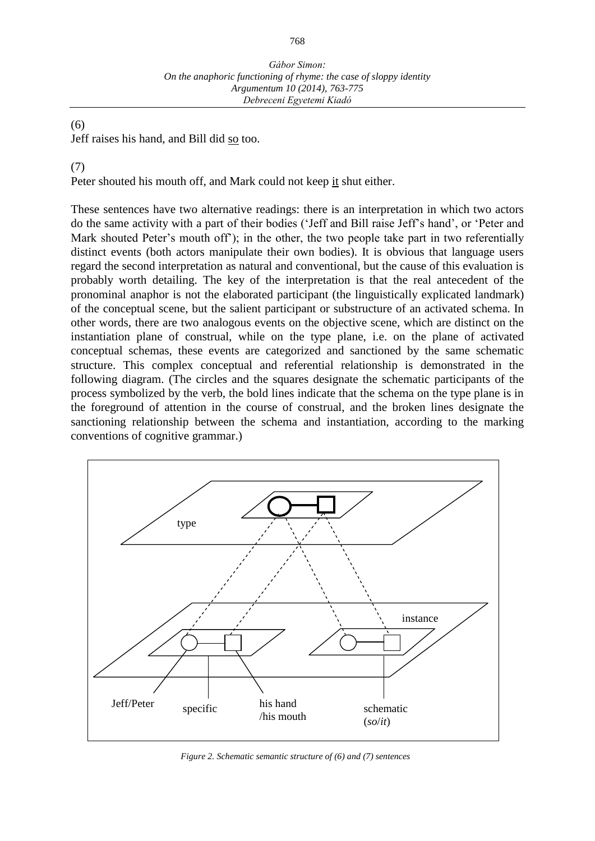## (6)

Jeff raises his hand, and Bill did so too.

## (7)

Peter shouted his mouth off, and Mark could not keep it shut either.

These sentences have two alternative readings: there is an interpretation in which two actors do the same activity with a part of their bodies ('Jeff and Bill raise Jeff's hand', or 'Peter and Mark shouted Peter's mouth off'); in the other, the two people take part in two referentially distinct events (both actors manipulate their own bodies). It is obvious that language users regard the second interpretation as natural and conventional, but the cause of this evaluation is probably worth detailing. The key of the interpretation is that the real antecedent of the pronominal anaphor is not the elaborated participant (the linguistically explicated landmark) of the conceptual scene, but the salient participant or substructure of an activated schema. In other words, there are two analogous events on the objective scene, which are distinct on the instantiation plane of construal, while on the type plane, i.e. on the plane of activated conceptual schemas, these events are categorized and sanctioned by the same schematic structure. This complex conceptual and referential relationship is demonstrated in the following diagram. (The circles and the squares designate the schematic participants of the process symbolized by the verb, the bold lines indicate that the schema on the type plane is in the foreground of attention in the course of construal, and the broken lines designate the sanctioning relationship between the schema and instantiation, according to the marking conventions of cognitive grammar.)



*Figure 2. Schematic semantic structure of (6) and (7) sentences*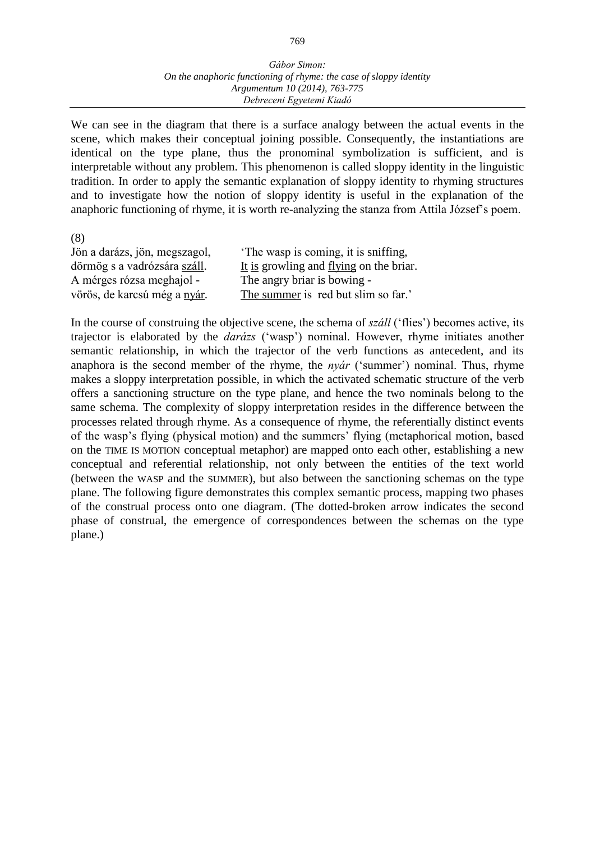#### *Gábor Simon: On the anaphoric functioning of rhyme: the case of sloppy identity Argumentum 10 (2014), 763-775 Debreceni Egyetemi Kiadó*

We can see in the diagram that there is a surface analogy between the actual events in the scene, which makes their conceptual joining possible. Consequently, the instantiations are identical on the type plane, thus the pronominal symbolization is sufficient, and is interpretable without any problem. This phenomenon is called sloppy identity in the linguistic tradition. In order to apply the semantic explanation of sloppy identity to rhyming structures and to investigate how the notion of sloppy identity is useful in the explanation of the anaphoric functioning of rhyme, it is worth re-analyzing the stanza from Attila József's poem.

(8)

| Jön a darázs, jön, megszagol, | The wasp is coming, it is sniffing,     |
|-------------------------------|-----------------------------------------|
| dörmög s a vadrózsára száll.  | It is growling and flying on the briar. |
| A mérges rózsa meghajol -     | The angry briar is bowing -             |
| vörös, de karcsú még a nyár.  | The summer is red but slim so far.'     |

In the course of construing the objective scene, the schema of *száll* ('flies') becomes active, its trajector is elaborated by the *darázs* ('wasp') nominal. However, rhyme initiates another semantic relationship, in which the trajector of the verb functions as antecedent, and its anaphora is the second member of the rhyme, the *nyár* ('summer') nominal. Thus, rhyme makes a sloppy interpretation possible, in which the activated schematic structure of the verb offers a sanctioning structure on the type plane, and hence the two nominals belong to the same schema. The complexity of sloppy interpretation resides in the difference between the processes related through rhyme. As a consequence of rhyme, the referentially distinct events of the wasp's flying (physical motion) and the summers' flying (metaphorical motion, based on the TIME IS MOTION conceptual metaphor) are mapped onto each other, establishing a new conceptual and referential relationship, not only between the entities of the text world (between the WASP and the SUMMER), but also between the sanctioning schemas on the type plane. The following figure demonstrates this complex semantic process, mapping two phases of the construal process onto one diagram. (The dotted-broken arrow indicates the second phase of construal, the emergence of correspondences between the schemas on the type plane.)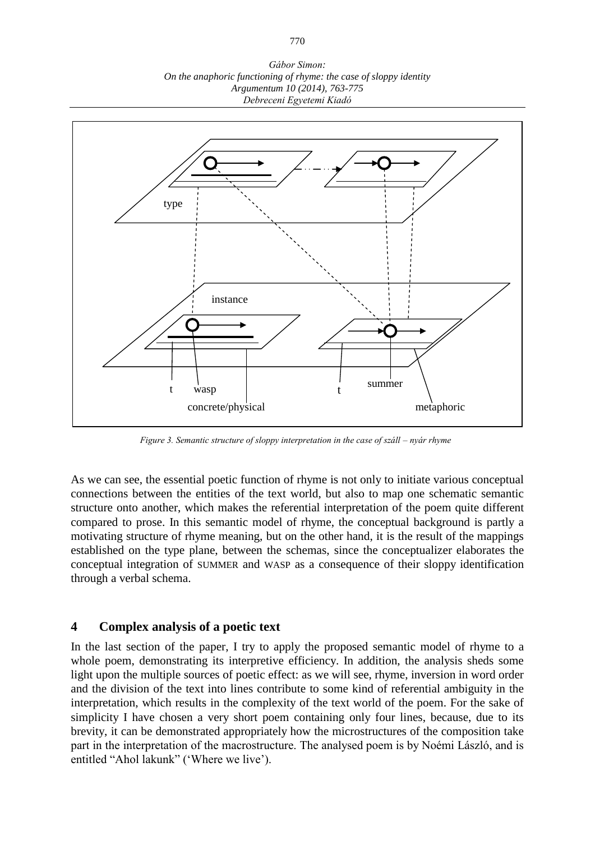*Gábor Simon: On the anaphoric functioning of rhyme: the case of sloppy identity Argumentum 10 (2014), 763-775 Debreceni Egyetemi Kiadó*



*Figure 3. Semantic structure of sloppy interpretation in the case of száll – nyár rhyme*

As we can see, the essential poetic function of rhyme is not only to initiate various conceptual connections between the entities of the text world, but also to map one schematic semantic structure onto another, which makes the referential interpretation of the poem quite different compared to prose. In this semantic model of rhyme, the conceptual background is partly a motivating structure of rhyme meaning, but on the other hand, it is the result of the mappings established on the type plane, between the schemas, since the conceptualizer elaborates the conceptual integration of SUMMER and WASP as a consequence of their sloppy identification through a verbal schema.

## **4 Complex analysis of a poetic text**

In the last section of the paper, I try to apply the proposed semantic model of rhyme to a whole poem, demonstrating its interpretive efficiency. In addition, the analysis sheds some light upon the multiple sources of poetic effect: as we will see, rhyme, inversion in word order and the division of the text into lines contribute to some kind of referential ambiguity in the interpretation, which results in the complexity of the text world of the poem. For the sake of simplicity I have chosen a very short poem containing only four lines, because, due to its brevity, it can be demonstrated appropriately how the microstructures of the composition take part in the interpretation of the macrostructure. The analysed poem is by Noémi László, and is entitled "Ahol lakunk" ('Where we live').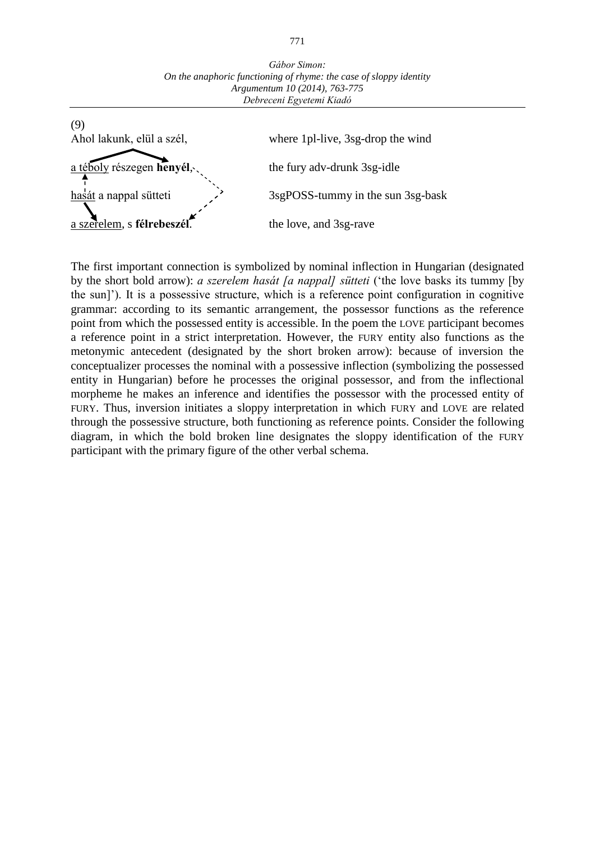

The first important connection is symbolized by nominal inflection in Hungarian (designated by the short bold arrow): *a szerelem hasát [a nappal] sütteti* ('the love basks its tummy [by the sun]'). It is a possessive structure, which is a reference point configuration in cognitive grammar: according to its semantic arrangement, the possessor functions as the reference point from which the possessed entity is accessible. In the poem the LOVE participant becomes a reference point in a strict interpretation. However, the FURY entity also functions as the metonymic antecedent (designated by the short broken arrow): because of inversion the conceptualizer processes the nominal with a possessive inflection (symbolizing the possessed entity in Hungarian) before he processes the original possessor, and from the inflectional morpheme he makes an inference and identifies the possessor with the processed entity of FURY. Thus, inversion initiates a sloppy interpretation in which FURY and LOVE are related through the possessive structure, both functioning as reference points. Consider the following diagram, in which the bold broken line designates the sloppy identification of the FURY participant with the primary figure of the other verbal schema.

*Gábor Simon: On the anaphoric functioning of rhyme: the case of sloppy identity*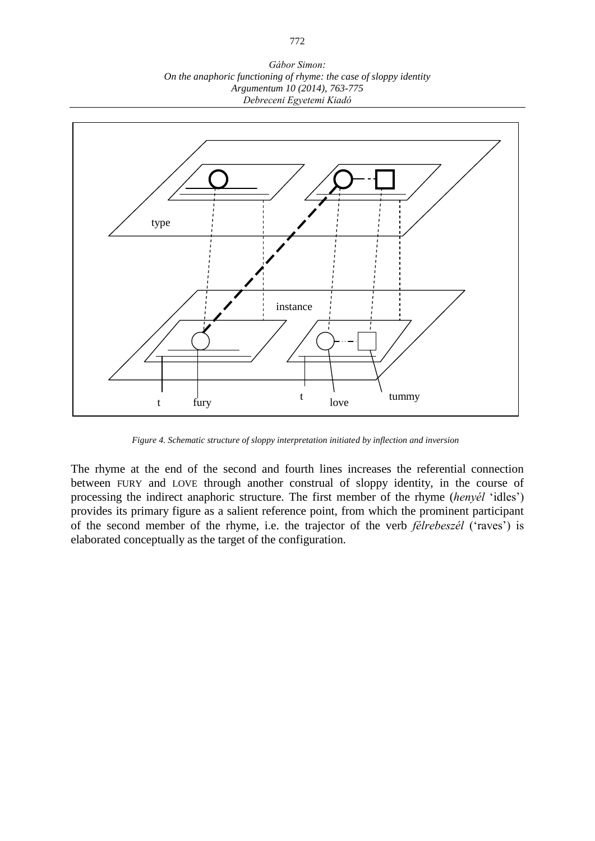*Gábor Simon: On the anaphoric functioning of rhyme: the case of sloppy identity Argumentum 10 (2014), 763-775 Debreceni Egyetemi Kiadó*



*Figure 4. Schematic structure of sloppy interpretation initiated by inflection and inversion*

The rhyme at the end of the second and fourth lines increases the referential connection between FURY and LOVE through another construal of sloppy identity, in the course of processing the indirect anaphoric structure. The first member of the rhyme (*henyél* 'idles') provides its primary figure as a salient reference point, from which the prominent participant of the second member of the rhyme, i.e. the trajector of the verb *félrebeszél* ('raves') is elaborated conceptually as the target of the configuration.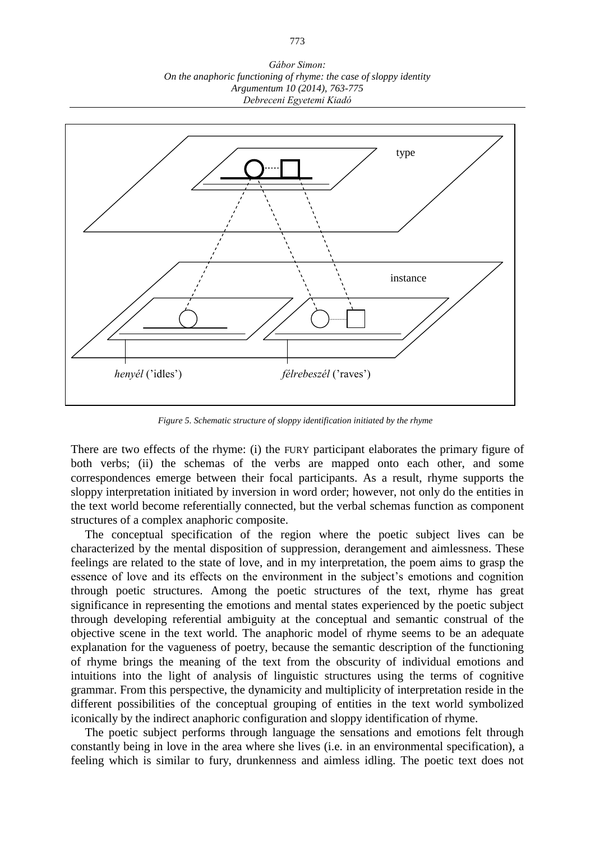*Gábor Simon: On the anaphoric functioning of rhyme: the case of sloppy identity Argumentum 10 (2014), 763-775 Debreceni Egyetemi Kiadó*



*Figure 5. Schematic structure of sloppy identification initiated by the rhyme*

There are two effects of the rhyme: (i) the FURY participant elaborates the primary figure of both verbs; (ii) the schemas of the verbs are mapped onto each other, and some correspondences emerge between their focal participants. As a result, rhyme supports the sloppy interpretation initiated by inversion in word order; however, not only do the entities in the text world become referentially connected, but the verbal schemas function as component structures of a complex anaphoric composite.

The conceptual specification of the region where the poetic subject lives can be characterized by the mental disposition of suppression, derangement and aimlessness. These feelings are related to the state of love, and in my interpretation, the poem aims to grasp the essence of love and its effects on the environment in the subject's emotions and cognition through poetic structures. Among the poetic structures of the text, rhyme has great significance in representing the emotions and mental states experienced by the poetic subject through developing referential ambiguity at the conceptual and semantic construal of the objective scene in the text world. The anaphoric model of rhyme seems to be an adequate explanation for the vagueness of poetry, because the semantic description of the functioning of rhyme brings the meaning of the text from the obscurity of individual emotions and intuitions into the light of analysis of linguistic structures using the terms of cognitive grammar. From this perspective, the dynamicity and multiplicity of interpretation reside in the different possibilities of the conceptual grouping of entities in the text world symbolized iconically by the indirect anaphoric configuration and sloppy identification of rhyme.

The poetic subject performs through language the sensations and emotions felt through constantly being in love in the area where she lives (i.e. in an environmental specification), a feeling which is similar to fury, drunkenness and aimless idling. The poetic text does not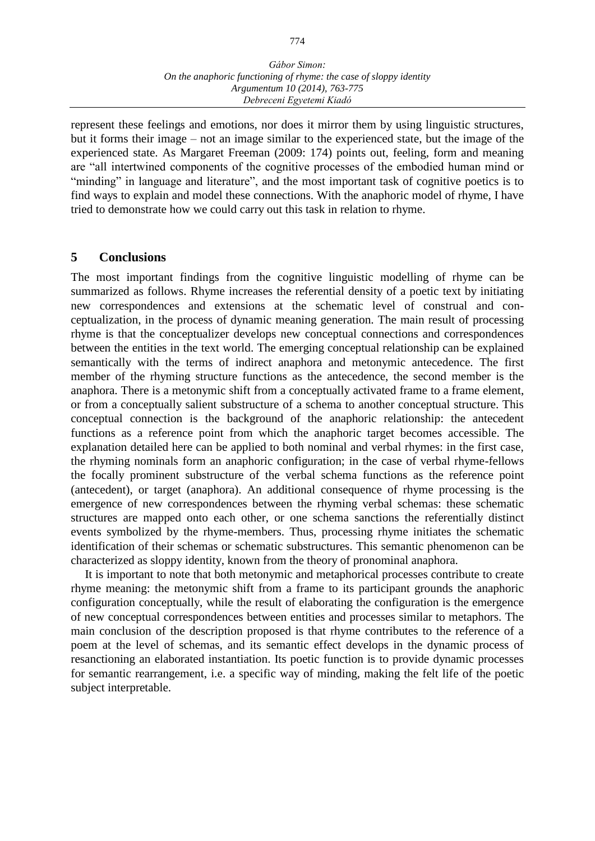represent these feelings and emotions, nor does it mirror them by using linguistic structures, but it forms their image – not an image similar to the experienced state, but the image of the experienced state. As Margaret Freeman (2009: 174) points out, feeling, form and meaning are "all intertwined components of the cognitive processes of the embodied human mind or "minding" in language and literature", and the most important task of cognitive poetics is to find ways to explain and model these connections. With the anaphoric model of rhyme, I have tried to demonstrate how we could carry out this task in relation to rhyme.

## **5 Conclusions**

The most important findings from the cognitive linguistic modelling of rhyme can be summarized as follows. Rhyme increases the referential density of a poetic text by initiating new correspondences and extensions at the schematic level of construal and conceptualization, in the process of dynamic meaning generation. The main result of processing rhyme is that the conceptualizer develops new conceptual connections and correspondences between the entities in the text world. The emerging conceptual relationship can be explained semantically with the terms of indirect anaphora and metonymic antecedence. The first member of the rhyming structure functions as the antecedence, the second member is the anaphora. There is a metonymic shift from a conceptually activated frame to a frame element, or from a conceptually salient substructure of a schema to another conceptual structure. This conceptual connection is the background of the anaphoric relationship: the antecedent functions as a reference point from which the anaphoric target becomes accessible. The explanation detailed here can be applied to both nominal and verbal rhymes: in the first case, the rhyming nominals form an anaphoric configuration; in the case of verbal rhyme-fellows the focally prominent substructure of the verbal schema functions as the reference point (antecedent), or target (anaphora). An additional consequence of rhyme processing is the emergence of new correspondences between the rhyming verbal schemas: these schematic structures are mapped onto each other, or one schema sanctions the referentially distinct events symbolized by the rhyme-members. Thus, processing rhyme initiates the schematic identification of their schemas or schematic substructures. This semantic phenomenon can be characterized as sloppy identity, known from the theory of pronominal anaphora.

It is important to note that both metonymic and metaphorical processes contribute to create rhyme meaning: the metonymic shift from a frame to its participant grounds the anaphoric configuration conceptually, while the result of elaborating the configuration is the emergence of new conceptual correspondences between entities and processes similar to metaphors. The main conclusion of the description proposed is that rhyme contributes to the reference of a poem at the level of schemas, and its semantic effect develops in the dynamic process of resanctioning an elaborated instantiation. Its poetic function is to provide dynamic processes for semantic rearrangement, i.e. a specific way of minding, making the felt life of the poetic subject interpretable.